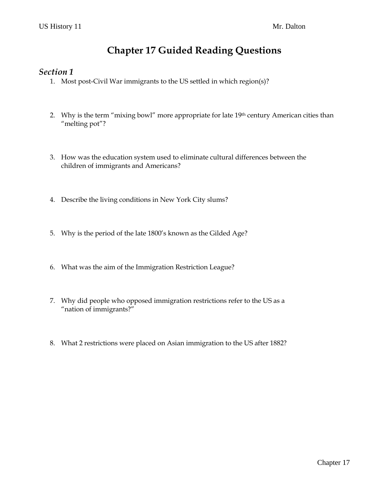## **Chapter 17 Guided Reading Questions**

#### *Section 1*

- 1. Most post-Civil War immigrants to the US settled in which region(s)?
- 2. Why is the term "mixing bowl" more appropriate for late 19th century American cities than "melting pot"?
- 3. How was the education system used to eliminate cultural differences between the children of immigrants and Americans?
- 4. Describe the living conditions in New York City slums?
- 5. Why is the period of the late 1800's known as the Gilded Age?
- 6. What was the aim of the Immigration Restriction League?
- 7. Why did people who opposed immigration restrictions refer to the US as a "nation of immigrants?"
- 8. What 2 restrictions were placed on Asian immigration to the US after 1882?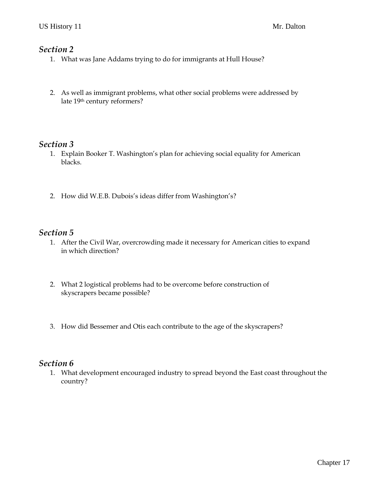#### *Section 2*

- 1. What was Jane Addams trying to do for immigrants at Hull House?
- 2. As well as immigrant problems, what other social problems were addressed by late 19th century reformers?

#### *Section 3*

- 1. Explain Booker T. Washington's plan for achieving social equality for American blacks.
- 2. How did W.E.B. Dubois's ideas differ from Washington's?

#### *Section 5*

- 1. After the Civil War, overcrowding made it necessary for American cities to expand in which direction?
- 2. What 2 logistical problems had to be overcome before construction of skyscrapers became possible?
- 3. How did Bessemer and Otis each contribute to the age of the skyscrapers?

#### *Section 6*

1. What development encouraged industry to spread beyond the East coast throughout the country?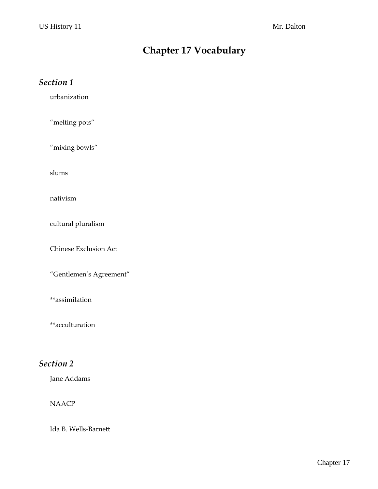# **Chapter 17 Vocabulary**

| Section 1                    |
|------------------------------|
| urbanization                 |
| "melting pots"               |
| "mixing bowls"               |
| slums                        |
| nativism                     |
| cultural pluralism           |
| <b>Chinese Exclusion Act</b> |
| "Gentlemen's Agreement"      |
| **assimilation               |
| **acculturation              |
| Section 2                    |

Jane Addams

#### NAACP

Ida B. Wells-Barnett